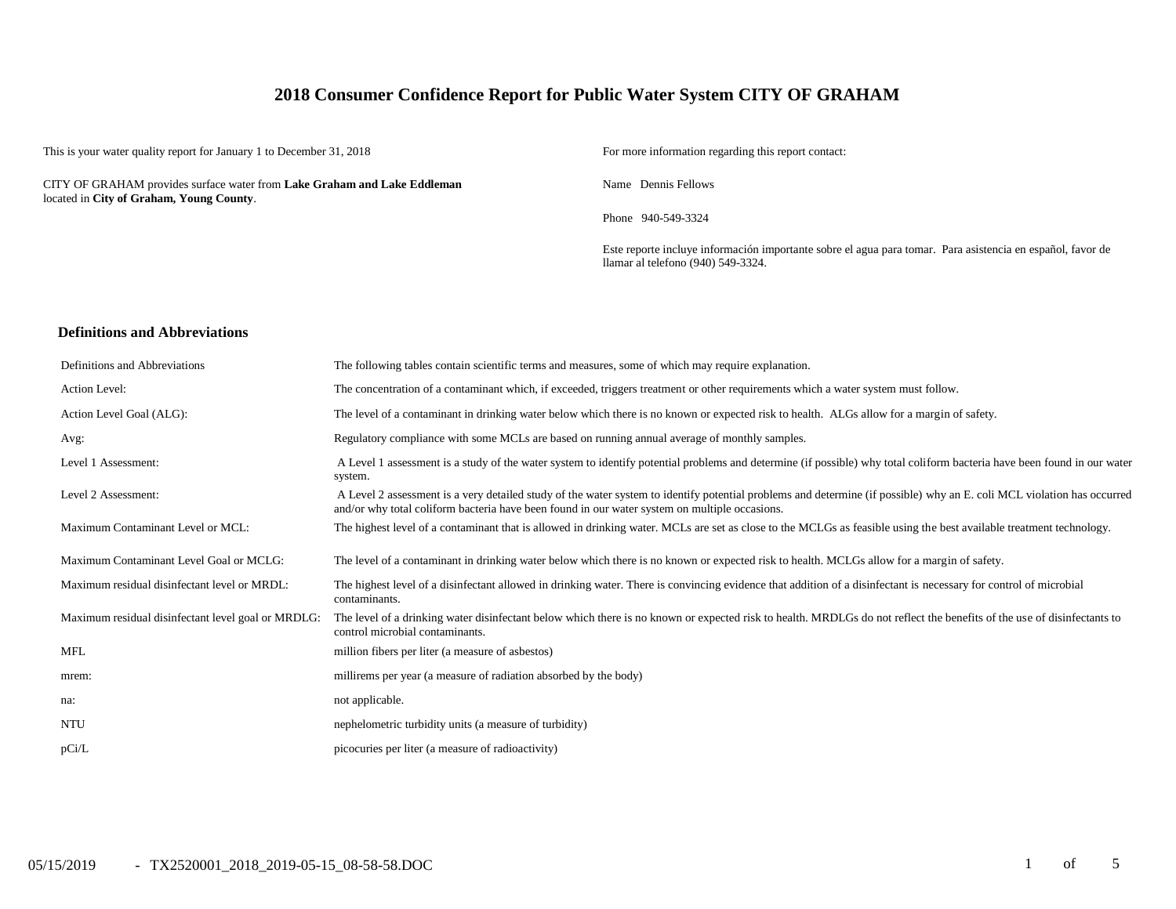# **2018 Consumer Confidence Report for Public Water System CITY OF GRAHAM**

This is your water quality report for January 1 to December 31, 2018 For more information regarding this report contact:

CITY OF GRAHAM provides surface water from **Lake Graham and Lake Eddleman** located in **City of Graham, Young County**.

Name Dennis Fellows

Phone 940-549-3324

Este reporte incluye información importante sobre el agua para tomar. Para asistencia en español, favor de llamar al telefono (940) 549-3324.

### **Definitions and Abbreviations**

| Definitions and Abbreviations                      | The following tables contain scientific terms and measures, some of which may require explanation.                                                                                                                                                                      |
|----------------------------------------------------|-------------------------------------------------------------------------------------------------------------------------------------------------------------------------------------------------------------------------------------------------------------------------|
| Action Level:                                      | The concentration of a contaminant which, if exceeded, triggers treatment or other requirements which a water system must follow.                                                                                                                                       |
| Action Level Goal (ALG):                           | The level of a contaminant in drinking water below which there is no known or expected risk to health. ALGs allow for a margin of safety.                                                                                                                               |
| Avg:                                               | Regulatory compliance with some MCLs are based on running annual average of monthly samples.                                                                                                                                                                            |
| Level 1 Assessment:                                | A Level 1 assessment is a study of the water system to identify potential problems and determine (if possible) why total coliform bacteria have been found in our water<br>system.                                                                                      |
| Level 2 Assessment:                                | A Level 2 assessment is a very detailed study of the water system to identify potential problems and determine (if possible) why an E. coli MCL violation has occurred<br>and/or why total coliform bacteria have been found in our water system on multiple occasions. |
| Maximum Contaminant Level or MCL:                  | The highest level of a contaminant that is allowed in drinking water. MCLs are set as close to the MCLGs as feasible using the best available treatment technology.                                                                                                     |
| Maximum Contaminant Level Goal or MCLG:            | The level of a contaminant in drinking water below which there is no known or expected risk to health. MCLGs allow for a margin of safety.                                                                                                                              |
| Maximum residual disinfectant level or MRDL:       | The highest level of a disinfectant allowed in drinking water. There is convincing evidence that addition of a disinfectant is necessary for control of microbial<br>contaminants.                                                                                      |
| Maximum residual disinfectant level goal or MRDLG: | The level of a drinking water disinfectant below which there is no known or expected risk to health. MRDLGs do not reflect the benefits of the use of disinfectants to<br>control microbial contaminants.                                                               |
| <b>MFL</b>                                         | million fibers per liter (a measure of asbestos)                                                                                                                                                                                                                        |
| mrem:                                              | millirems per year (a measure of radiation absorbed by the body)                                                                                                                                                                                                        |
| na:                                                | not applicable.                                                                                                                                                                                                                                                         |
| <b>NTU</b>                                         | nephelometric turbidity units (a measure of turbidity)                                                                                                                                                                                                                  |
| pCi/L                                              | picocuries per liter (a measure of radioactivity)                                                                                                                                                                                                                       |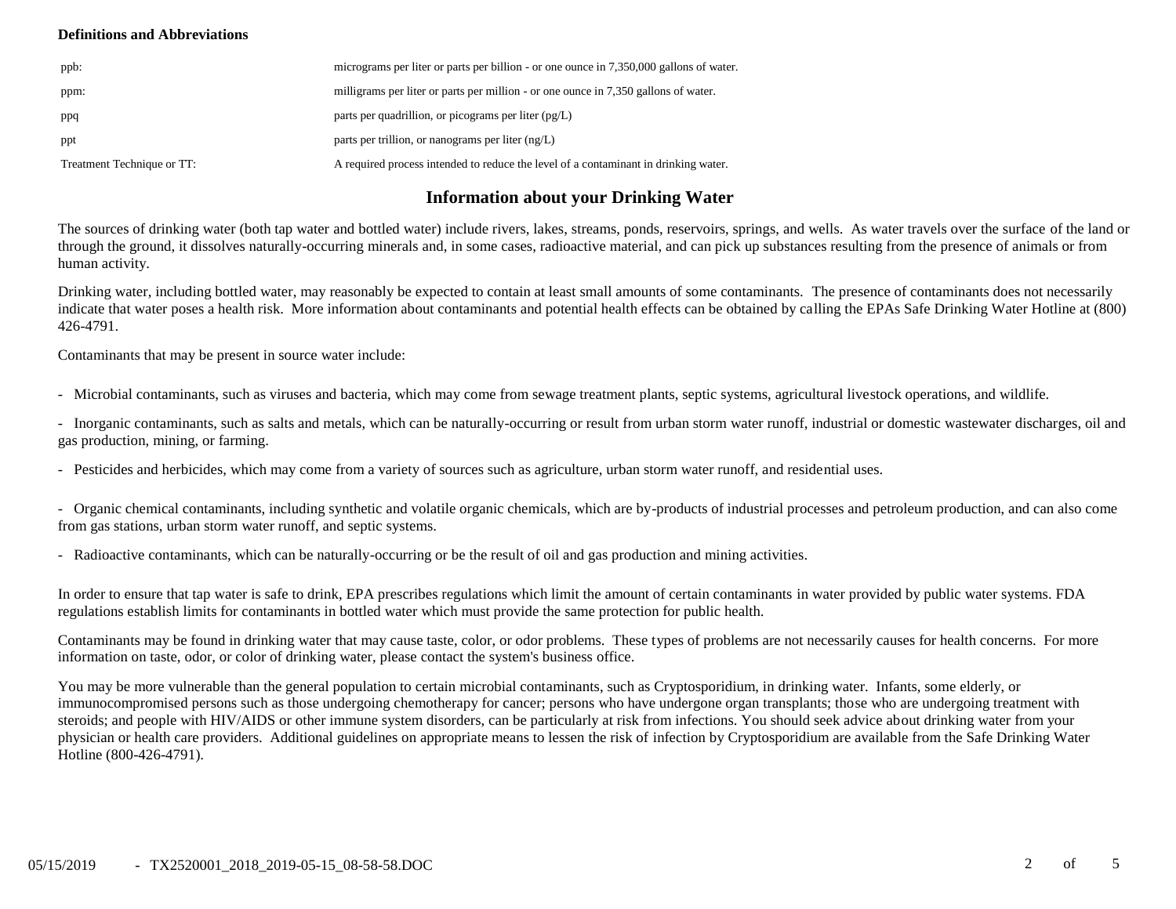## **Definitions and Abbreviations**

| ppb:                       | micrograms per liter or parts per billion - or one ounce in 7,350,000 gallons of water. |
|----------------------------|-----------------------------------------------------------------------------------------|
| ppm:                       | milligrams per liter or parts per million - or one ounce in 7,350 gallons of water.     |
| ppq                        | parts per quadrillion, or picograms per liter $(pg/L)$                                  |
| ppt                        | parts per trillion, or nanograms per liter $(ng/L)$                                     |
| Treatment Technique or TT: | A required process intended to reduce the level of a contaminant in drinking water.     |

# **Information about your Drinking Water**

The sources of drinking water (both tap water and bottled water) include rivers, lakes, streams, ponds, reservoirs, springs, and wells. As water travels over the surface of the land or through the ground, it dissolves naturally-occurring minerals and, in some cases, radioactive material, and can pick up substances resulting from the presence of animals or from human activity.

Drinking water, including bottled water, may reasonably be expected to contain at least small amounts of some contaminants. The presence of contaminants does not necessarily indicate that water poses a health risk. More information about contaminants and potential health effects can be obtained by calling the EPAs Safe Drinking Water Hotline at (800) 426-4791.

Contaminants that may be present in source water include:

- Microbial contaminants, such as viruses and bacteria, which may come from sewage treatment plants, septic systems, agricultural livestock operations, and wildlife.

- Inorganic contaminants, such as salts and metals, which can be naturally-occurring or result from urban storm water runoff, industrial or domestic wastewater discharges, oil and gas production, mining, or farming.

- Pesticides and herbicides, which may come from a variety of sources such as agriculture, urban storm water runoff, and residential uses.

- Organic chemical contaminants, including synthetic and volatile organic chemicals, which are by-products of industrial processes and petroleum production, and can also come from gas stations, urban storm water runoff, and septic systems.

- Radioactive contaminants, which can be naturally-occurring or be the result of oil and gas production and mining activities.

In order to ensure that tap water is safe to drink, EPA prescribes regulations which limit the amount of certain contaminants in water provided by public water systems. FDA regulations establish limits for contaminants in bottled water which must provide the same protection for public health.

Contaminants may be found in drinking water that may cause taste, color, or odor problems. These types of problems are not necessarily causes for health concerns. For more information on taste, odor, or color of drinking water, please contact the system's business office.

You may be more vulnerable than the general population to certain microbial contaminants, such as Cryptosporidium, in drinking water. Infants, some elderly, or immunocompromised persons such as those undergoing chemotherapy for cancer; persons who have undergone organ transplants; those who are undergoing treatment with steroids; and people with HIV/AIDS or other immune system disorders, can be particularly at risk from infections. You should seek advice about drinking water from your physician or health care providers. Additional guidelines on appropriate means to lessen the risk of infection by Cryptosporidium are available from the Safe Drinking Water Hotline (800-426-4791).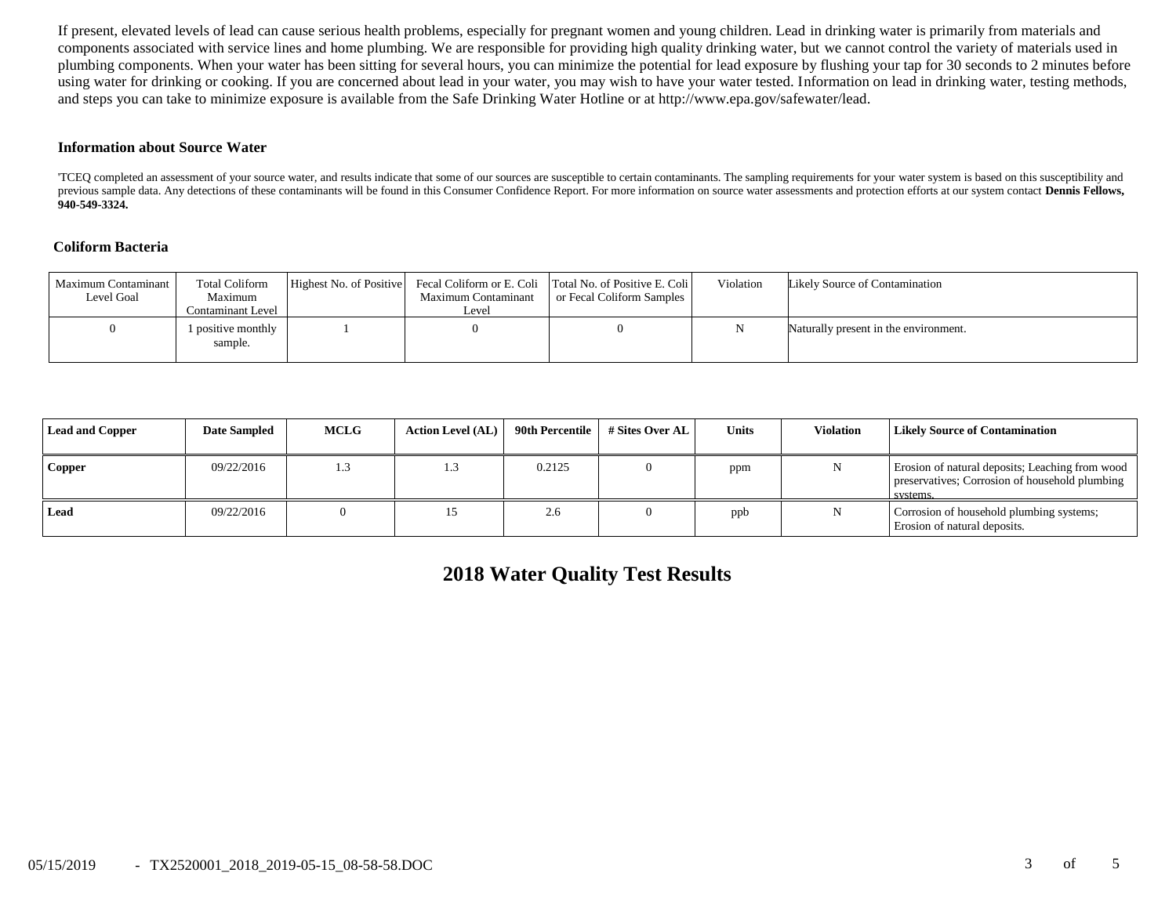If present, elevated levels of lead can cause serious health problems, especially for pregnant women and young children. Lead in drinking water is primarily from materials and components associated with service lines and home plumbing. We are responsible for providing high quality drinking water, but we cannot control the variety of materials used in plumbing components. When your water has been sitting for several hours, you can minimize the potential for lead exposure by flushing your tap for 30 seconds to 2 minutes before using water for drinking or cooking. If you are concerned about lead in your water, you may wish to have your water tested. Information on lead in drinking water, testing methods, and steps you can take to minimize exposure is available from the Safe Drinking Water Hotline or at http://www.epa.gov/safewater/lead.

#### **Information about Source Water**

'TCEQ completed an assessment of your source water, and results indicate that some of our sources are susceptible to certain contaminants. The sampling requirements for your water system is based on this susceptibility and previous sample data. Any detections of these contaminants will be found in this Consumer Confidence Report. For more information on source water assessments and protection efforts at our system contact Dennis Fellows, **940-549-3324.**

## **Coliform Bacteria**

| Maximum Contaminant<br>Level Goal | <b>Total Coliform</b><br>Maximum<br>Contaminant Level | Highest No. of Positive | Maximum Contaminant<br>Leve! | Fecal Coliform or E. Coli Total No. of Positive E. Coli<br>or Fecal Coliform Samples | Violation | Likely Source of Contamination        |
|-----------------------------------|-------------------------------------------------------|-------------------------|------------------------------|--------------------------------------------------------------------------------------|-----------|---------------------------------------|
|                                   | 1 positive monthly<br>sample.                         |                         |                              |                                                                                      |           | Naturally present in the environment. |

| <b>Lead and Copper</b> | <b>Date Sampled</b> | <b>MCLG</b> | <b>Action Level (AL)</b> | 90th Percentile | # Sites Over AL | <b>Units</b> | <b>Violation</b> | <b>Likely Source of Contamination</b>                                                                         |
|------------------------|---------------------|-------------|--------------------------|-----------------|-----------------|--------------|------------------|---------------------------------------------------------------------------------------------------------------|
| <b>Copper</b>          | 09/22/2016          | 1.3         | 1.3                      | 0.2125          |                 | ppm          |                  | Erosion of natural deposits; Leaching from wood<br>preservatives; Corrosion of household plumbing<br>systems. |
| Lead                   | 09/22/2016          |             |                          | 2.6             |                 | ppb          |                  | Corrosion of household plumbing systems;<br>Erosion of natural deposits.                                      |

**2018 Water Quality Test Results**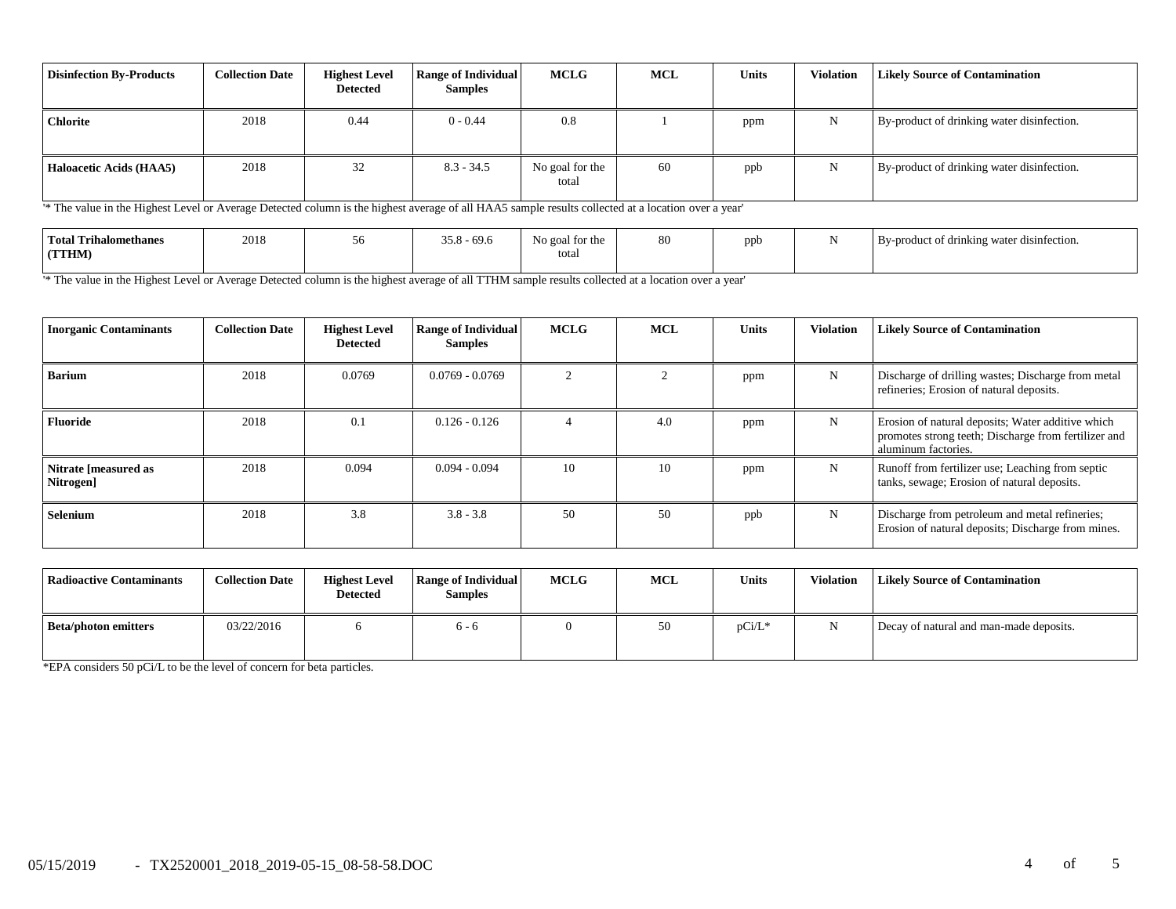| <b>Disinfection By-Products</b> | <b>Collection Date</b> | <b>Highest Level</b><br>Detected | <b>Range of Individual</b><br><b>Samples</b> | <b>MCLG</b>              | <b>MCL</b> | Units | <b>Violation</b> | <b>Likely Source of Contamination</b>      |
|---------------------------------|------------------------|----------------------------------|----------------------------------------------|--------------------------|------------|-------|------------------|--------------------------------------------|
| <b>Chlorite</b>                 | 2018                   | 0.44                             | $0 - 0.44$                                   | 0.8                      |            | ppm   | N                | By-product of drinking water disinfection. |
| <b>Haloacetic Acids (HAA5)</b>  | 2018                   | 32                               | $8.3 - 34.5$                                 | No goal for the<br>total | 60         | ppb   | N                | By-product of drinking water disinfection. |

'\* The value in the Highest Level or Average Detected column is the highest average of all HAA5 sample results collected at a location over a year'

| <b>Total Trihalomethanes</b> | 2018 | . . 10 | $-69.6$ | No goal for the | 80 | ppb | By-product of drinking water disinfection. |
|------------------------------|------|--------|---------|-----------------|----|-----|--------------------------------------------|
| (TTHM)                       |      |        |         | totar           |    |     |                                            |

'\* The value in the Highest Level or Average Detected column is the highest average of all TTHM sample results collected at a location over a year'

| <b>Inorganic Contaminants</b>     | <b>Collection Date</b> | <b>Highest Level</b><br><b>Detected</b> | <b>Range of Individual</b><br><b>Samples</b> | <b>MCLG</b> | <b>MCL</b> | <b>Units</b> | <b>Violation</b> | <b>Likely Source of Contamination</b>                                                                                            |
|-----------------------------------|------------------------|-----------------------------------------|----------------------------------------------|-------------|------------|--------------|------------------|----------------------------------------------------------------------------------------------------------------------------------|
| <b>Barium</b>                     | 2018                   | 0.0769                                  | $0.0769 - 0.0769$                            |             |            | ppm          | N                | Discharge of drilling wastes; Discharge from metal<br>refineries; Erosion of natural deposits.                                   |
| <b>Fluoride</b>                   | 2018                   | 0.1                                     | $0.126 - 0.126$                              |             | 4.0        | ppm          | N                | Erosion of natural deposits; Water additive which<br>promotes strong teeth; Discharge from fertilizer and<br>aluminum factories. |
| Nitrate [measured as<br>Nitrogen] | 2018                   | 0.094                                   | $0.094 - 0.094$                              | 10          | 10         | ppm          | N                | Runoff from fertilizer use; Leaching from septic<br>tanks, sewage; Erosion of natural deposits.                                  |
| Selenium                          | 2018                   | 3.8                                     | $3.8 - 3.8$                                  | 50          | 50         | ppb          | N                | Discharge from petroleum and metal refineries;<br>Erosion of natural deposits; Discharge from mines.                             |

| Radioactive Contaminants | <b>Collection Date</b> | <b>Highest Level</b><br><b>Detected</b> | <b>Range of Individual</b><br><b>Samples</b> | <b>MCLG</b> | <b>MCL</b> | <b>Units</b> | Violation | <b>Likely Source of Contamination</b>   |
|--------------------------|------------------------|-----------------------------------------|----------------------------------------------|-------------|------------|--------------|-----------|-----------------------------------------|
| Beta/photon emitters     | 03/22/2016             |                                         | რ - რ                                        |             | 50         | $pCi/L^*$    | N         | Decay of natural and man-made deposits. |

\*EPA considers 50 pCi/L to be the level of concern for beta particles.